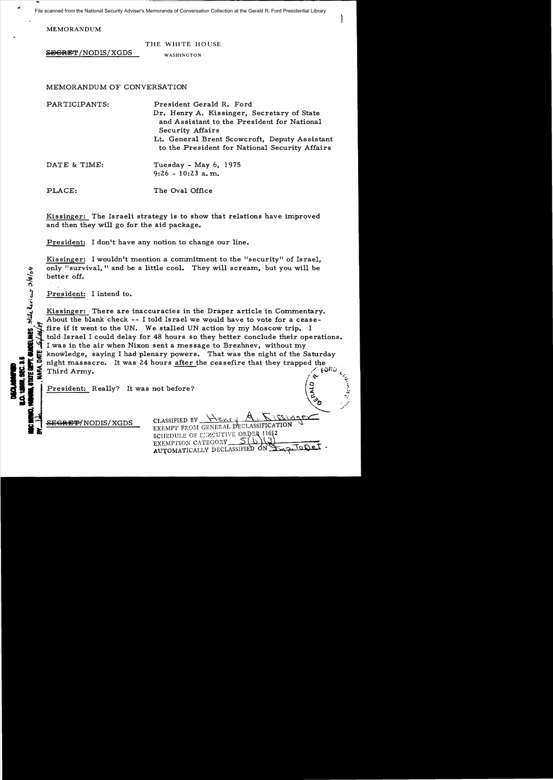File scanned from the National Security Adviser's Memoranda of Conversation Collection at the Gerald R. Ford Presidential Library

MEMORANDUM

 $S$ EGRET/NODIS/XGDS

|            | THE WHITE HOUSE |  |
|------------|-----------------|--|
| WASHINGTON |                 |  |

MEMORANDUM OF CONVERSATION

PARTICIPANTS: DATE & TIME: PLACE: President Gerald R. Ford Dr. Henry A. Kissinger, Secretary of State and Assistant to the President for National Security Affairs Lt. General Brent Scowcroft, Deputy Assistant to the President for National Security Affairs Tuesday - May 6, 1975 9:26 - 10:23 a. m.. The Oval Office

Kissinger: The Israeli strategy is to show that relations have improved and then they will go for the aid package.

President: I don't have any notion to change our line.

Kissinger: I wouldn't mention a commitment to the "security" of Israel. only "survival." and be a little cool. They will scream. but you will be better off.

President: I intend to.

~

"

...

DECLAMANTED<br>ILO. 1988, SEC. 1<br>INNERE STATE SEN

Kissinger: There are inaccuracies in the Draper article in Commentary. About the blank check  $-$ - I told Israel we would have to vote for a ceasefire if it went to the UN. We stalled UN action by my Moscow trip. I told Israel I could delay for 48 hours so they better conclude their operations.<br>I was in the air when Nixon sent a message to Brezhnev, without my I was in the air when Nixon sent a message to Brezhnev, without my<br>strategies in the air when Nixon sent a message to Brezhnev, without my<br>knowledge, saying I had plenary powers. That was the night of the Saturday **14. DATE 15/14** night massacre. It was 24 hours <u>after</u> the ceasefire that they trapped the Third Army.

President: Really? It was not before?

<del>EGRET/</del>NODIS/XGDS

 $\Delta$ CLASSIFIED BY EXEMPT FROM GENERAL DECLASSIFICATION SCHEDULE OF LYECUTIVE ORDER 11652 EXEMPTION CATEGORY\_ AUTOMATICALLY DECLASSIFIED ON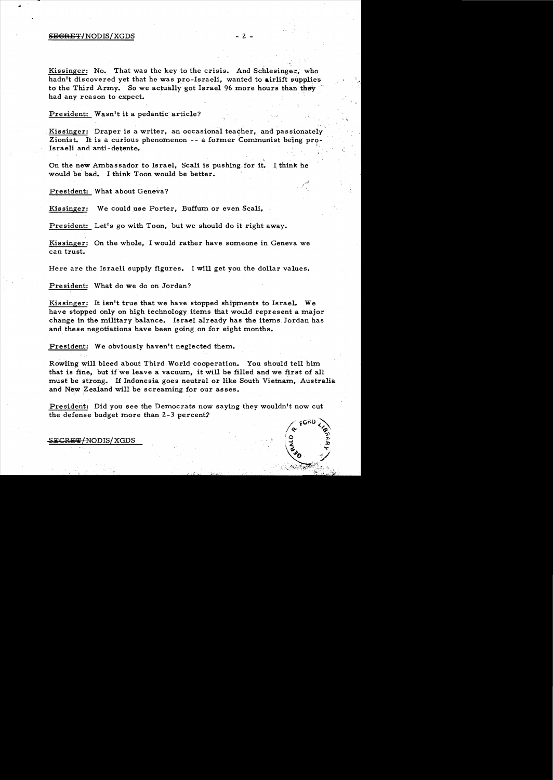## $SEGREF/NODIS/XGDS$  - 2 -

Kissinger: No. That was the key to the crisis. And Schlesinger, who hadn't discovered yet that he was pro-Israeli, wanted to airlift supplies to the Third Army. So we actually got Israel 96 more hours than they had any reason to expect.

President: Wasn't it a pedantic article?

Kissinger: Draper is a writer, an occasional teacher, and passionately Zionist. It is a curious phenomenon - - a former Communist being pro-Israeli and anti-detente.

On the new Ambassador to Israel, Scali is pushing for it. I think he would be bad. I think Toon would be better.

President: What about Geneva?

Kissinger: We could use Porter, Buffum or even Scali,

President: Let's go with Toon, but we should do it right away.

Kissinger: On the whole, I would rather have someone in Geneva we can trust.

Here are the Israeli supply figures. I will get you the dollar values.

President: What do we do on Jordan?

Kissinger: It isn't true that we have stopped shipments to Israel. We have stopped only on high technology items that would represent a major change in the military balance. Israel already has the items Jordan has and these negotiations have been going on for eight months.

President: We obviously haven't neglected them.

Rowling will bleed about Third World cooperation. You should tell him that is fine, but if we leave a vacuum, it will be filled and we first of all must be strong. If Indonesia goes neutral or like South Vietnam, Australia and New Zealand will be screaming for our asses.

President: Did you see the Democrats now saying they wouldn't now cut. the defense budget more than 2 -3 percent?



Ie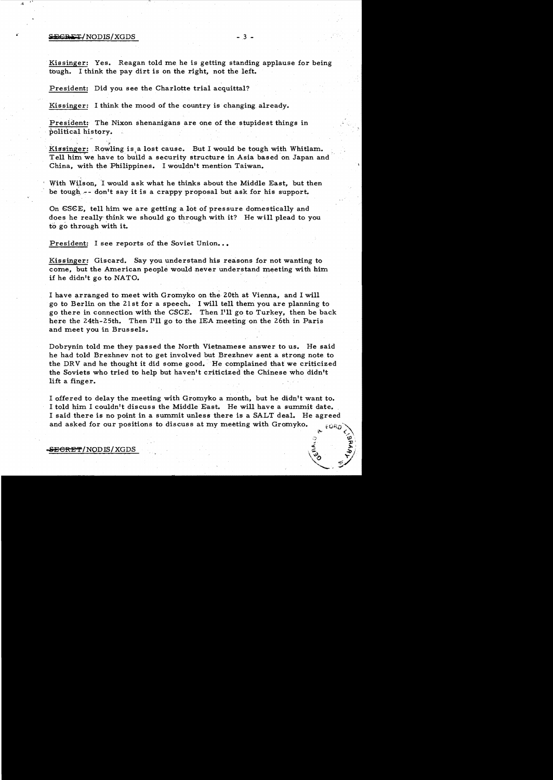## $SECBET/NODIS/XGDS$  - 3 -

<sup>~</sup>"

Kissinger: Yes. Reagan told me he is getting standing applause for being tough. I think the pay dirt is on the right, not the left.

President: Did you see the Charlotte trial acquittal?

Kissinger: I think the mood of the country is changing already.

President: The Nixon shenanigans are one of the stupidest things in political history.

Kissinger: Rowling is,a lost cause. But I would be tough with Whitlam. Tell him we have to build a security structure in Asia based on Japan and China, with the Philippines. I wouldn't mention Taiwan.

With Wilson, I would ask what he thinks about the Middle East, but then be tough, -- don't say it is a crappy proposal but ask for his support.

On CSCE, tell him we are getting a lot of pressure domestically and does he really think we should go through with it? He will plead to you to go through with it.

President: I see reports of the Soviet Union...

Kissinger: Giscard. Say you understand his reasons for not wanting to come, but the American people would never understand meeting with him if he didn't go to NATO.

I have arranged to meet with Gromyko on the 20th at Vienna, and I will go to Berlin on the 21 st for a speech. I will tell them you are planning to go there in connection with the CSCE. Then I'll go to Turkey, then be back here the 24th-25th. Then I'll go to the lEA meeting on the 26th in Paris and meet you in Brussels.

Dobrynin told me they passed the North Vietnamese answer to us. He said he had told Brezhnev not to get involved but Brezhnev sent a strong note to the DRV and he thought it did some good. He complained that we criticized the Soviets who tried to help but haven't criticized the Chinese who didn't lift a finger.

I offered to delay the meeting with Gromyko a month, but he didn't want to. I told him I couldn't discuss the Middle East. He will have a summit date. I said there is no point in a summit unless there is a SALT deal. He agreed and asked for our positions to discuss at my meeting with Gromyko.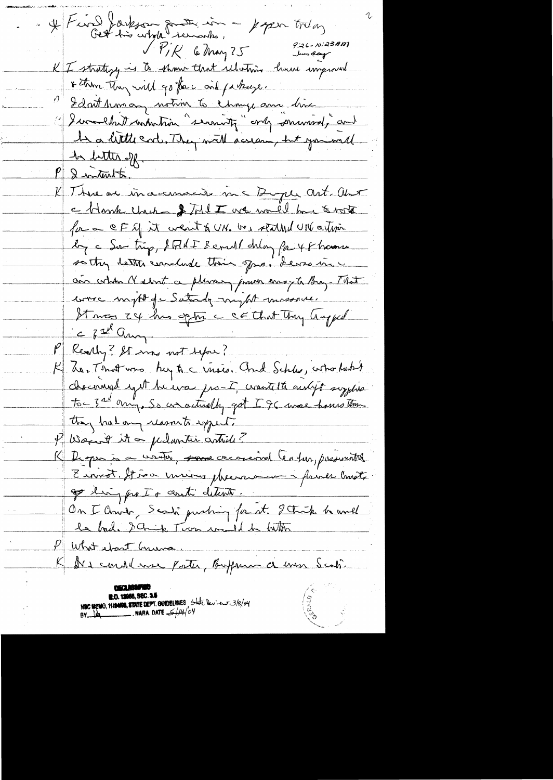$H$  Find Jarkson somtimes,  $H$ uper today 9:26-10:23 AM<br>Jun day VPIR 6 May 25 K I struting is to show that relative home improved \* then they will go for will fathage. I don't homeony notion to change am him 1) I wanthet undertron "serenity" only serured, and In a little cod. They will scream, but join will he better off. 2 internation K Three are increments in Pupe art. Aut a blank check of Told I we would have a vote for a CF of it went & UN. We stalled UN artisin by a Sur trip, & Filt I semill delay for 48 hamme so they better conclude their opens. Lewis in ain cortion Nederst a plusary proven ansyte Bray-That ware myst of Saturdy myst missous. Starces 24 has optime contact that they happed C fat any PRearly ? It was not before? K has That was hey to crises. And Schlee, who hast choconina syst he was pro-I, wantelte autoft supplies to 3 and any, So an actually got I 96 more homes than they had any resourch syperation P Wagent it a perlantie article? K Despio à ce certain, sous concernal Center, passements Ervirot, ffino minos phenomenos prince consta go ling pro I + conti detente. On I Chier, Scali pushing for at. I think he would le bad. I chip Tion wild be better P What wast Gruns K Der condelance pater, Boffman de men Scoti. NOC MEMO, MANIO, STATE DEPT. GUIDELINES State Deviews 3/8/04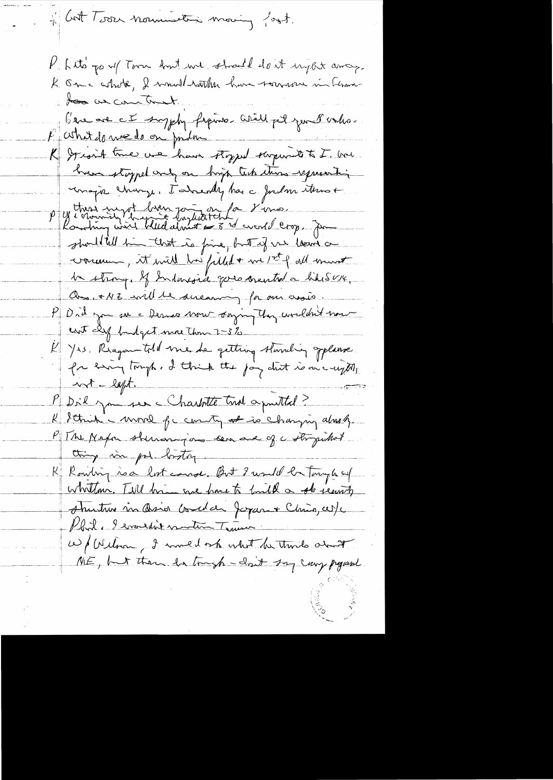1 Cost Terre normandition moving fort. P. Lito go of Toon And we should don't urgent away. K Om a whole, I would watch have rounder in himsto as cometer b'en au cet surphy frame well pel jun Penho. P athat do me do on parlon K I sait time we have thought surprise to I was have stopped only on high tech there express his unapre change. Talsendy has a fordom items + P y these most brev part en fa 8 mai.<br>Routing wire total doubtert of the event loop. Ju should till in that is fine, but if we loans a vocame, it will be filled + me 1st p all mont la strong. If Indonesia que concentra hiberty, au + NZ will be sucaring for our assis. PD rd you sa a Dernes Now saying they wouldn't now ent cly budget more than 2-3% 1/25. Reagan told me de getting standing Jelanse  $\mathcal{L}_{\mathbb{R}^+}$ for sing tough , I think the joy dut is one upon  $x^*$  - left. M Dil jameser Charlotte trial aprilled? K Strik - more for conty at is changing almsh. P Tre Mapa shinaragions sen avec of a stripulat thing in pol boston. K Rowling no a lost course. But I would be Tonyle and whitehor. Till him we have to huild a store earth structure sin Asion Concelar Japan + Chris, cer/c Phil, I wouldn't mention Trainer We flechom I multiple what he thinks about NE, but then for trush - clout say carry project